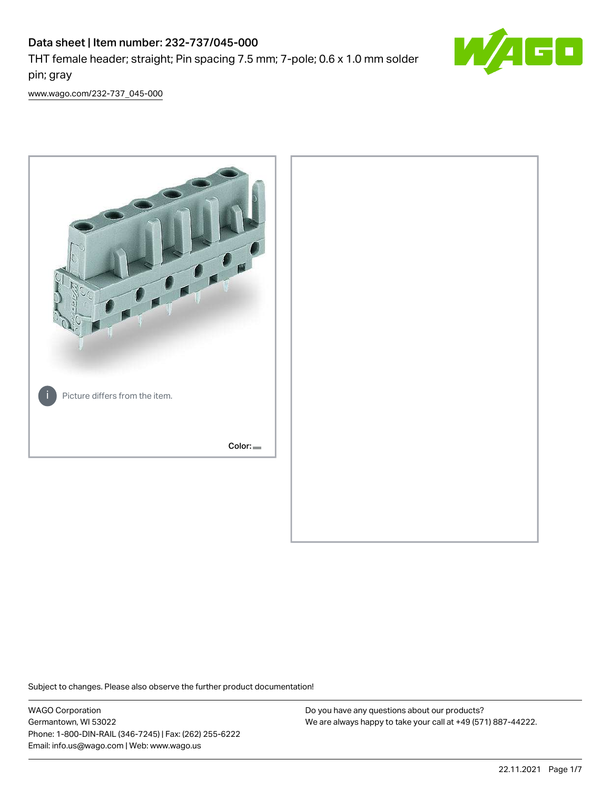

[www.wago.com/232-737\\_045-000](http://www.wago.com/232-737_045-000)



Subject to changes. Please also observe the further product documentation!

WAGO Corporation Germantown, WI 53022 Phone: 1-800-DIN-RAIL (346-7245) | Fax: (262) 255-6222 Email: info.us@wago.com | Web: www.wago.us

Do you have any questions about our products? We are always happy to take your call at +49 (571) 887-44222.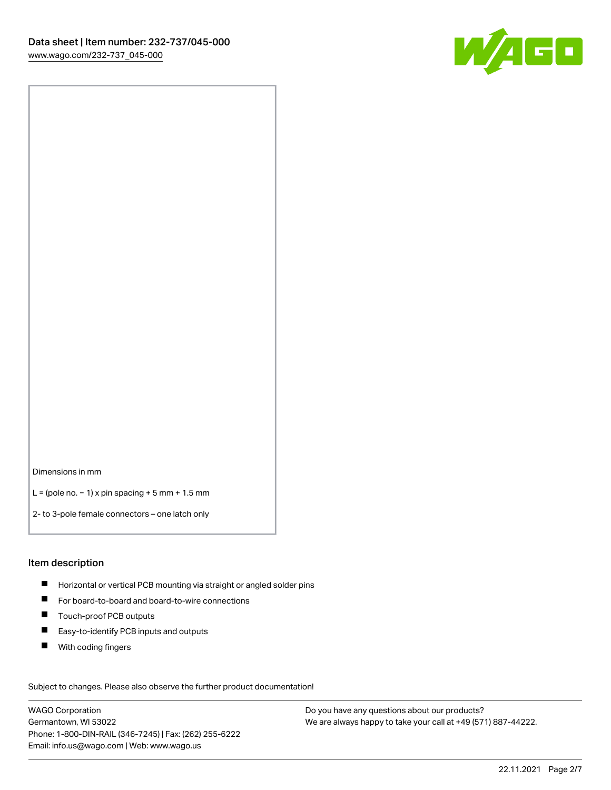

Dimensions in mm

L = (pole no. − 1) x pin spacing + 5 mm + 1.5 mm

2- to 3-pole female connectors – one latch only

#### Item description

- **H** Horizontal or vertical PCB mounting via straight or angled solder pins
- For board-to-board and board-to-wire connections
- Touch-proof PCB outputs  $\blacksquare$
- $\blacksquare$ Easy-to-identify PCB inputs and outputs
- $\blacksquare$ With coding fingers

Subject to changes. Please also observe the further product documentation! Data

WAGO Corporation Germantown, WI 53022 Phone: 1-800-DIN-RAIL (346-7245) | Fax: (262) 255-6222 Email: info.us@wago.com | Web: www.wago.us

Do you have any questions about our products? We are always happy to take your call at +49 (571) 887-44222.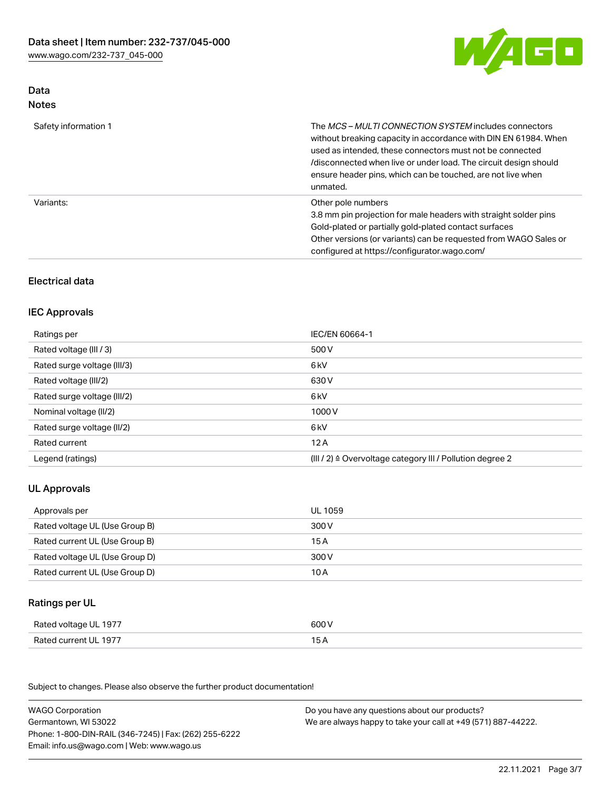

## Data Notes

| Safety information 1 | The <i>MCS – MULTI CONNECTION SYSTEM</i> includes connectors<br>without breaking capacity in accordance with DIN EN 61984. When<br>used as intended, these connectors must not be connected<br>/disconnected when live or under load. The circuit design should<br>ensure header pins, which can be touched, are not live when<br>unmated. |
|----------------------|--------------------------------------------------------------------------------------------------------------------------------------------------------------------------------------------------------------------------------------------------------------------------------------------------------------------------------------------|
| Variants:            | Other pole numbers<br>3.8 mm pin projection for male headers with straight solder pins<br>Gold-plated or partially gold-plated contact surfaces<br>Other versions (or variants) can be requested from WAGO Sales or<br>configured at https://configurator.wago.com/                                                                        |

## Electrical data

### IEC Approvals

| Ratings per                 | IEC/EN 60664-1                                                        |
|-----------------------------|-----------------------------------------------------------------------|
| Rated voltage (III / 3)     | 500 V                                                                 |
| Rated surge voltage (III/3) | 6 kV                                                                  |
| Rated voltage (III/2)       | 630 V                                                                 |
| Rated surge voltage (III/2) | 6 kV                                                                  |
| Nominal voltage (II/2)      | 1000 V                                                                |
| Rated surge voltage (II/2)  | 6 kV                                                                  |
| Rated current               | 12A                                                                   |
| Legend (ratings)            | $(III / 2)$ $\triangle$ Overvoltage category III / Pollution degree 2 |

## UL Approvals

| Approvals per                  | UL 1059 |
|--------------------------------|---------|
| Rated voltage UL (Use Group B) | 300 V   |
| Rated current UL (Use Group B) | 15 A    |
| Rated voltage UL (Use Group D) | 300 V   |
| Rated current UL (Use Group D) | 10 A    |

# Ratings per UL

| Rated voltage UL 1977 | 600 V |
|-----------------------|-------|
| Rated current UL 1977 | ◡◠    |

Subject to changes. Please also observe the further product documentation!

| <b>WAGO Corporation</b>                                | Do you have any questions about our products?                 |
|--------------------------------------------------------|---------------------------------------------------------------|
| Germantown, WI 53022                                   | We are always happy to take your call at +49 (571) 887-44222. |
| Phone: 1-800-DIN-RAIL (346-7245)   Fax: (262) 255-6222 |                                                               |
| Email: info.us@wago.com   Web: www.wago.us             |                                                               |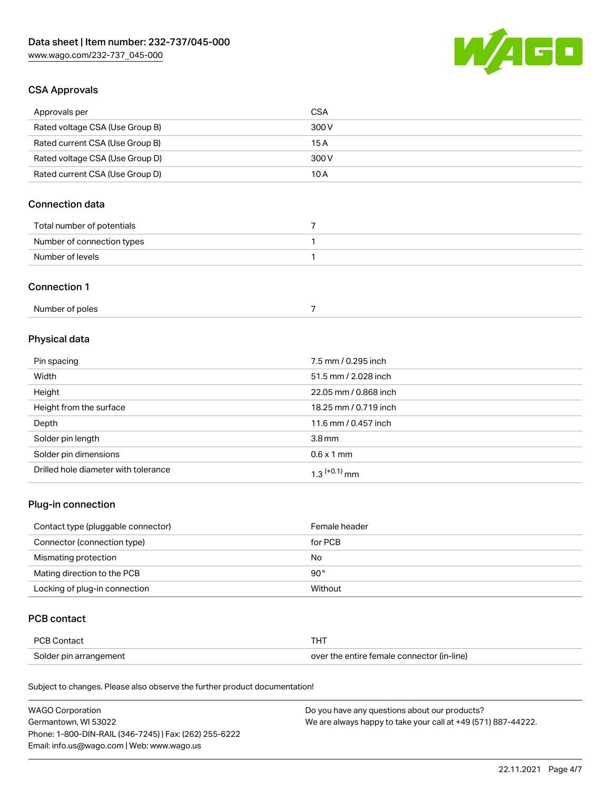

### CSA Approvals

| Approvals per                   | CSA   |
|---------------------------------|-------|
| Rated voltage CSA (Use Group B) | 300 V |
| Rated current CSA (Use Group B) | 15 A  |
| Rated voltage CSA (Use Group D) | 300 V |
| Rated current CSA (Use Group D) | 10 A  |

## Connection data

| Total number of potentials |  |
|----------------------------|--|
| Number of connection types |  |
| Number of levels           |  |

#### Connection 1

# Physical data

| Pin spacing                          | 7.5 mm / 0.295 inch   |
|--------------------------------------|-----------------------|
| Width                                | 51.5 mm / 2.028 inch  |
| Height                               | 22.05 mm / 0.868 inch |
| Height from the surface              | 18.25 mm / 0.719 inch |
| Depth                                | 11.6 mm / 0.457 inch  |
| Solder pin length                    | 3.8 <sub>mm</sub>     |
| Solder pin dimensions                | $0.6 \times 1$ mm     |
| Drilled hole diameter with tolerance | $1.3$ $(+0.1)$ mm     |

## Plug-in connection

| Contact type (pluggable connector) | Female header |
|------------------------------------|---------------|
| Connector (connection type)        | for PCB       |
| Mismating protection               | No            |
| Mating direction to the PCB        | $90^{\circ}$  |
| Locking of plug-in connection      | Without       |

### PCB contact

| PCB Contact            | THT                                        |
|------------------------|--------------------------------------------|
| Solder pin arrangement | over the entire female connector (in-line) |

Subject to changes. Please also observe the further product documentation!

| <b>WAGO Corporation</b>                                | Do you have any questions about our products?                 |
|--------------------------------------------------------|---------------------------------------------------------------|
| Germantown, WI 53022                                   | We are always happy to take your call at +49 (571) 887-44222. |
| Phone: 1-800-DIN-RAIL (346-7245)   Fax: (262) 255-6222 |                                                               |
| Email: info.us@wago.com   Web: www.wago.us             |                                                               |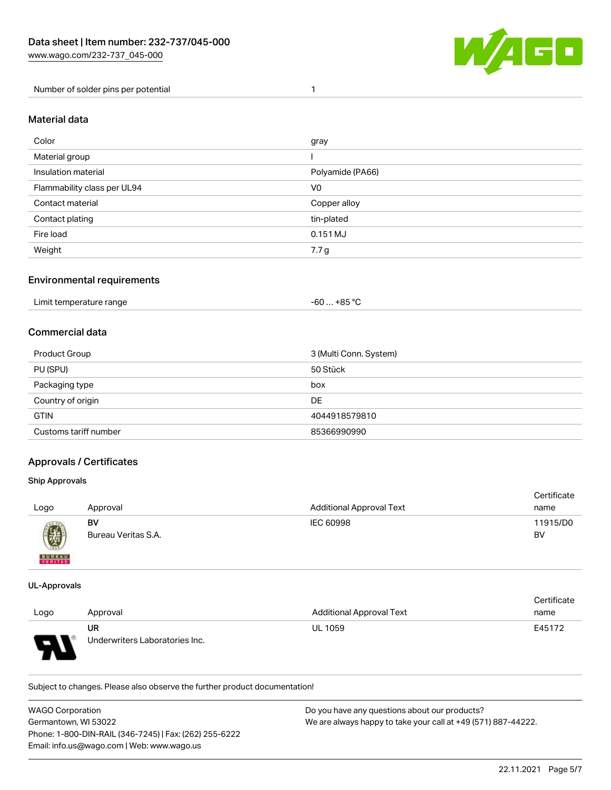

Number of solder pins per potential 1

#### Material data

| Color                       | gray             |
|-----------------------------|------------------|
| Material group              |                  |
| Insulation material         | Polyamide (PA66) |
| Flammability class per UL94 | V0               |
| Contact material            | Copper alloy     |
| Contact plating             | tin-plated       |
| Fire load                   | 0.151 MJ         |
| Weight                      | 7.7 g            |

### Environmental requirements

### Commercial data

| Product Group         | 3 (Multi Conn. System) |
|-----------------------|------------------------|
| PU (SPU)              | 50 Stück               |
| Packaging type        | box                    |
| Country of origin     | DE                     |
| <b>GTIN</b>           | 4044918579810          |
| Customs tariff number | 85366990990            |

### Approvals / Certificates

#### Ship Approvals

| Logo          | Approval                  | <b>Additional Approval Text</b> | Certificate<br>name |
|---------------|---------------------------|---------------------------------|---------------------|
| Ø             | BV<br>Bureau Veritas S.A. | IEC 60998                       | 11915/D0<br>BV      |
| <b>BUREAU</b> |                           |                                 |                     |

#### UL-Approvals

 $\mathbf{A}$ 

|      |                                |                                 | Certificate |
|------|--------------------------------|---------------------------------|-------------|
| Logo | Approval                       | <b>Additional Approval Text</b> | name        |
|      | UR                             | <b>UL 1059</b>                  | E45172      |
| o    | Underwriters Laboratories Inc. |                                 |             |

Subject to changes. Please also observe the further product documentation!

| <b>WAGO Corporation</b>                                | Do you have any questions about our products?                 |
|--------------------------------------------------------|---------------------------------------------------------------|
| Germantown. WI 53022                                   | We are always happy to take your call at +49 (571) 887-44222. |
| Phone: 1-800-DIN-RAIL (346-7245)   Fax: (262) 255-6222 |                                                               |
| Email: info.us@wago.com   Web: www.wago.us             |                                                               |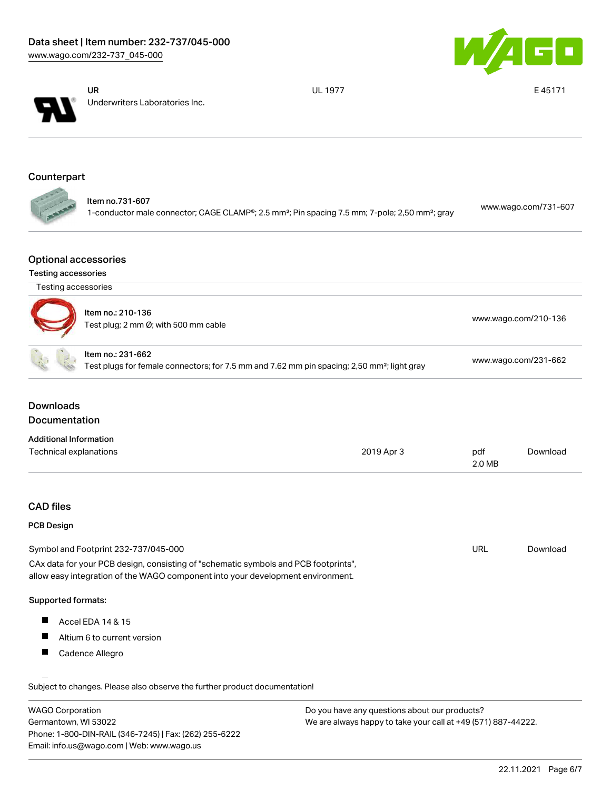



UR Underwriters Laboratories Inc. UL 1977 **E 45171** 

# **Counterpart**

| <b>September 18</b> | ltem no.731-607                                                                                                        | www.wago.com/731-607 |
|---------------------|------------------------------------------------------------------------------------------------------------------------|----------------------|
| <b>START</b>        | 1-conductor male connector; CAGE CLAMP®; 2.5 mm <sup>2</sup> ; Pin spacing 7.5 mm; 7-pole; 2,50 mm <sup>2</sup> ; gray |                      |

#### Optional accessories

#### Testing accessories

| Testing accessories           |                                                                                                                                                                        |            |                      |          |
|-------------------------------|------------------------------------------------------------------------------------------------------------------------------------------------------------------------|------------|----------------------|----------|
|                               | Item no.: 210-136<br>Test plug; 2 mm Ø; with 500 mm cable                                                                                                              |            | www.wago.com/210-136 |          |
|                               | Item no.: 231-662<br>Test plugs for female connectors; for 7.5 mm and 7.62 mm pin spacing; 2,50 mm <sup>2</sup> ; light gray                                           |            | www.wago.com/231-662 |          |
| <b>Downloads</b>              |                                                                                                                                                                        |            |                      |          |
| <b>Documentation</b>          |                                                                                                                                                                        |            |                      |          |
| <b>Additional Information</b> |                                                                                                                                                                        |            |                      |          |
| Technical explanations        |                                                                                                                                                                        | 2019 Apr 3 | pdf<br>2.0 MB        | Download |
| <b>CAD files</b>              |                                                                                                                                                                        |            |                      |          |
| <b>PCB Design</b>             |                                                                                                                                                                        |            |                      |          |
|                               | Symbol and Footprint 232-737/045-000                                                                                                                                   |            | <b>URL</b>           | Download |
|                               | CAx data for your PCB design, consisting of "schematic symbols and PCB footprints",<br>allow easy integration of the WAGO component into your development environment. |            |                      |          |
| Supported formats:            |                                                                                                                                                                        |            |                      |          |
| Ш                             | Accel EDA 14 & 15                                                                                                                                                      |            |                      |          |
| ш                             | Altium 6 to current version                                                                                                                                            |            |                      |          |
|                               |                                                                                                                                                                        |            |                      |          |

| <b>WAGO Corporation</b>                                | Do you have any questions about our products?                 |
|--------------------------------------------------------|---------------------------------------------------------------|
| Germantown, WI 53022                                   | We are always happy to take your call at +49 (571) 887-44222. |
| Phone: 1-800-DIN-RAIL (346-7245)   Fax: (262) 255-6222 |                                                               |
| Email: info.us@wago.com   Web: www.wago.us             |                                                               |